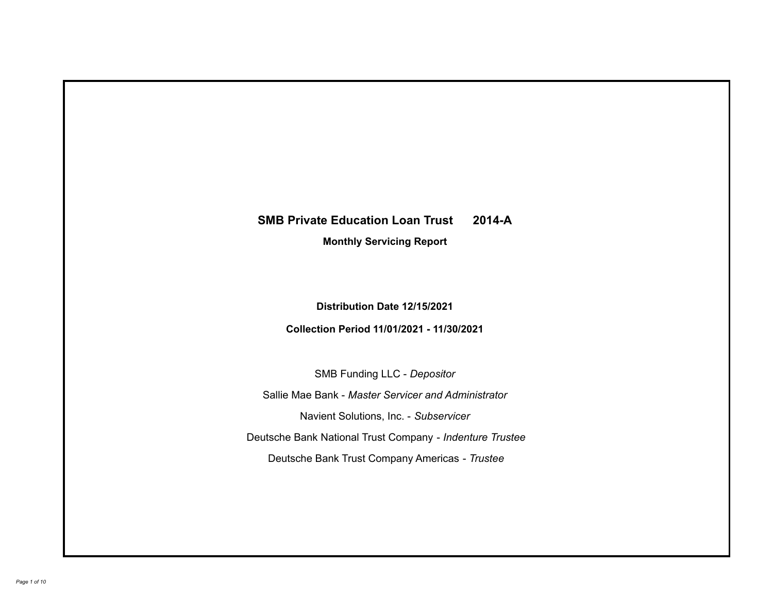# **SMB Private Education Loan Trust 2014-A**

**Monthly Servicing Report**

**Distribution Date 12/15/2021**

**Collection Period 11/01/2021 - 11/30/2021**

SMB Funding LLC - *Depositor*

Sallie Mae Bank - *Master Servicer and Administrator*

Navient Solutions, Inc. - *Subservicer*

Deutsche Bank National Trust Company - *Indenture Trustee*

Deutsche Bank Trust Company Americas - *Trustee*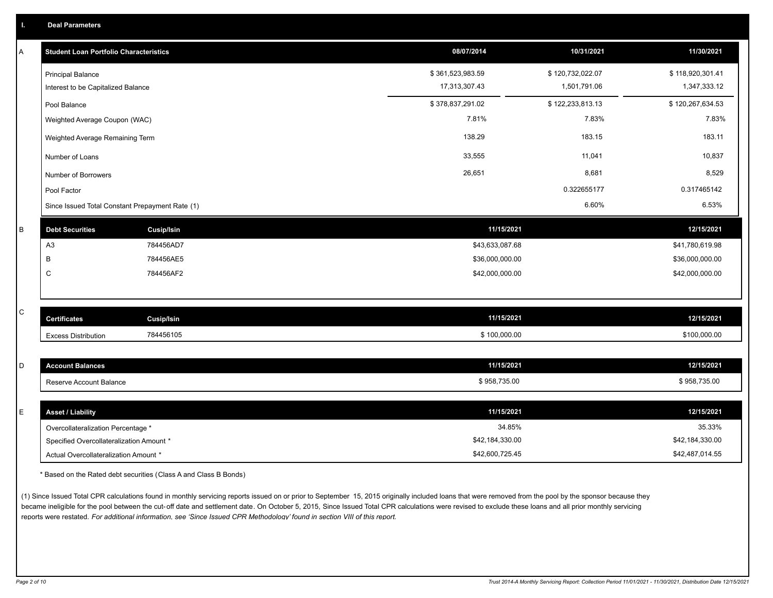|  | <b>Deal Parameters</b> |  |
|--|------------------------|--|
|  |                        |  |

| Α | <b>Student Loan Portfolio Characteristics</b>   |                   | 08/07/2014       | 10/31/2021       | 11/30/2021       |
|---|-------------------------------------------------|-------------------|------------------|------------------|------------------|
|   | <b>Principal Balance</b>                        |                   | \$361,523,983.59 | \$120,732,022.07 | \$118,920,301.41 |
|   | Interest to be Capitalized Balance              |                   | 17,313,307.43    | 1,501,791.06     | 1,347,333.12     |
|   | Pool Balance                                    |                   | \$378,837,291.02 | \$122,233,813.13 | \$120,267,634.53 |
|   | Weighted Average Coupon (WAC)                   |                   | 7.81%            | 7.83%            | 7.83%            |
|   | Weighted Average Remaining Term                 |                   | 138.29           | 183.15           | 183.11           |
|   | Number of Loans                                 |                   | 33,555           | 11,041           | 10,837           |
|   | Number of Borrowers                             |                   | 26,651           | 8,681            | 8,529            |
|   | Pool Factor                                     |                   |                  | 0.322655177      | 0.317465142      |
|   | Since Issued Total Constant Prepayment Rate (1) |                   |                  | 6.60%            | 6.53%            |
| B | <b>Debt Securities</b>                          | <b>Cusip/Isin</b> | 11/15/2021       |                  | 12/15/2021       |
|   | A <sub>3</sub>                                  | 784456AD7         | \$43,633,087.68  |                  | \$41,780,619.98  |
|   | B                                               | 784456AE5         | \$36,000,000.00  |                  | \$36,000,000.00  |
|   | C                                               | 784456AF2         | \$42,000,000.00  |                  | \$42,000,000.00  |
|   |                                                 |                   |                  |                  |                  |
| C | <b>Certificates</b>                             | <b>Cusip/Isin</b> | 11/15/2021       |                  | 12/15/2021       |
|   | <b>Excess Distribution</b>                      | 784456105         | \$100,000.00     |                  | \$100,000.00     |
|   |                                                 |                   |                  |                  |                  |
| D | <b>Account Balances</b>                         |                   | 11/15/2021       |                  | 12/15/2021       |
|   | Reserve Account Balance                         |                   | \$958,735.00     |                  | \$958,735.00     |
|   |                                                 |                   |                  |                  |                  |
| Е | <b>Asset / Liability</b>                        |                   | 11/15/2021       |                  | 12/15/2021       |
|   | Overcollateralization Percentage *              |                   | 34.85%           |                  | 35.33%           |
|   | Specified Overcollateralization Amount *        |                   | \$42,184,330.00  |                  | \$42,184,330.00  |

\* Based on the Rated debt securities (Class A and Class B Bonds)

(1) Since Issued Total CPR calculations found in monthly servicing reports issued on or prior to September 15, 2015 originally included loans that were removed from the pool by the sponsor because they became ineligible for the pool between the cut-off date and settlement date. On October 5, 2015, Since Issued Total CPR calculations were revised to exclude these loans and all prior monthly servicing reports were restated. *For additional information, see 'Since Issued CPR Methodology' found in section VIII of this report.*

Actual Overcollateralization Amount \* \$42,600,725.45

\$42,487,014.55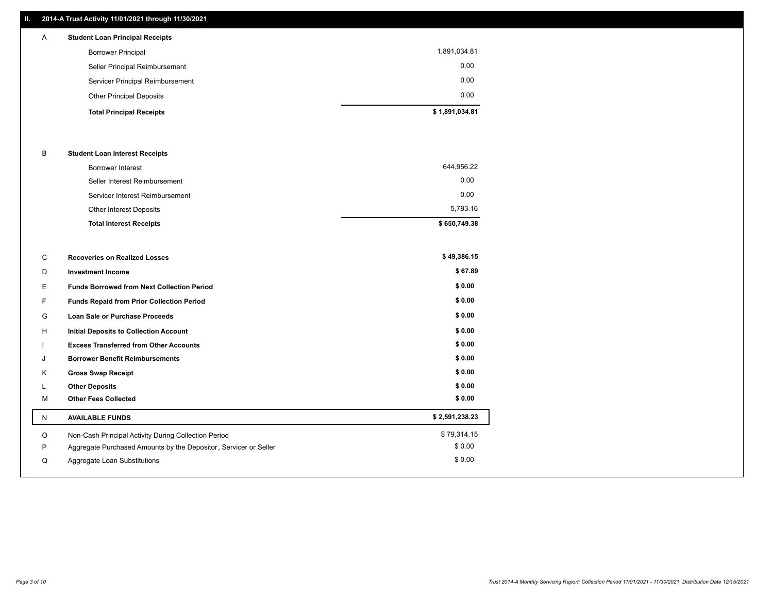### **II. 2014-A Trust Activity 11/01/2021 through 11/30/2021**

| $\mathsf{A}$ | <b>Student Loan Principal Receipts</b> |                |
|--------------|----------------------------------------|----------------|
|              | <b>Borrower Principal</b>              | 1,891,034.81   |
|              | Seller Principal Reimbursement         | 0.00           |
|              | Servicer Principal Reimbursement       | 0.00           |
|              | <b>Other Principal Deposits</b>        | 0.00           |
|              | <b>Total Principal Receipts</b>        | \$1,891,034.81 |

#### B **Student Loan Interest Receipts**

| <b>Total Interest Receipts</b>  | \$650,749.38 |
|---------------------------------|--------------|
| Other Interest Deposits         | 5,793.16     |
| Servicer Interest Reimbursement | 0.00         |
| Seller Interest Reimbursement   | 0.00         |
| <b>Borrower Interest</b>        | 644,956.22   |

| С  | <b>Recoveries on Realized Losses</b>                             | \$49,386.15    |
|----|------------------------------------------------------------------|----------------|
| D  | <b>Investment Income</b>                                         | \$67.89        |
| E  | <b>Funds Borrowed from Next Collection Period</b>                | \$0.00         |
| F. | Funds Repaid from Prior Collection Period                        | \$0.00         |
| G  | <b>Loan Sale or Purchase Proceeds</b>                            | \$0.00         |
| H  | <b>Initial Deposits to Collection Account</b>                    | \$0.00         |
|    | <b>Excess Transferred from Other Accounts</b>                    | \$0.00         |
| J  | <b>Borrower Benefit Reimbursements</b>                           | \$0.00         |
| K  | <b>Gross Swap Receipt</b>                                        | \$0.00         |
| L  | <b>Other Deposits</b>                                            | \$0.00         |
| M  | <b>Other Fees Collected</b>                                      | \$0.00         |
| N  | <b>AVAILABLE FUNDS</b>                                           | \$2,591,238.23 |
| O  | Non-Cash Principal Activity During Collection Period             | \$79,314.15    |
| P  | Aggregate Purchased Amounts by the Depositor, Servicer or Seller | \$0.00         |
| Q  | Aggregate Loan Substitutions                                     | \$0.00         |
|    |                                                                  |                |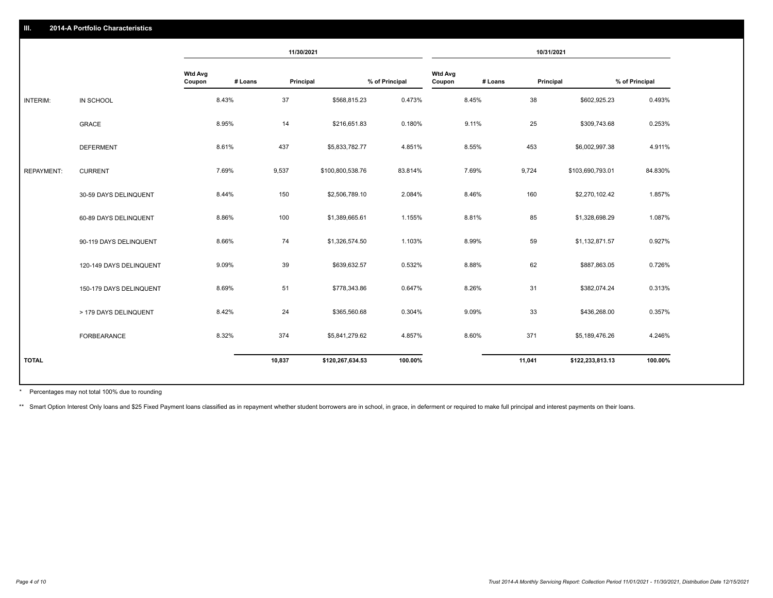|                   |                         | 11/30/2021               |         | 10/31/2021 |                  |                |                          |         |           |                  |                |
|-------------------|-------------------------|--------------------------|---------|------------|------------------|----------------|--------------------------|---------|-----------|------------------|----------------|
|                   |                         | <b>Wtd Avg</b><br>Coupon | # Loans | Principal  |                  | % of Principal | <b>Wtd Avg</b><br>Coupon | # Loans | Principal |                  | % of Principal |
| INTERIM:          | IN SCHOOL               |                          | 8.43%   | 37         | \$568,815.23     | 0.473%         |                          | 8.45%   | 38        | \$602,925.23     | 0.493%         |
|                   | <b>GRACE</b>            |                          | 8.95%   | 14         | \$216,651.83     | 0.180%         |                          | 9.11%   | 25        | \$309,743.68     | 0.253%         |
|                   | <b>DEFERMENT</b>        |                          | 8.61%   | 437        | \$5,833,782.77   | 4.851%         |                          | 8.55%   | 453       | \$6,002,997.38   | 4.911%         |
| <b>REPAYMENT:</b> | <b>CURRENT</b>          |                          | 7.69%   | 9,537      | \$100,800,538.76 | 83.814%        |                          | 7.69%   | 9,724     | \$103,690,793.01 | 84.830%        |
|                   | 30-59 DAYS DELINQUENT   |                          | 8.44%   | 150        | \$2,506,789.10   | 2.084%         |                          | 8.46%   | 160       | \$2,270,102.42   | 1.857%         |
|                   | 60-89 DAYS DELINQUENT   |                          | 8.86%   | 100        | \$1,389,665.61   | 1.155%         |                          | 8.81%   | 85        | \$1,328,698.29   | 1.087%         |
|                   | 90-119 DAYS DELINQUENT  |                          | 8.66%   | 74         | \$1,326,574.50   | 1.103%         |                          | 8.99%   | 59        | \$1,132,871.57   | 0.927%         |
|                   | 120-149 DAYS DELINQUENT |                          | 9.09%   | 39         | \$639,632.57     | 0.532%         |                          | 8.88%   | 62        | \$887,863.05     | 0.726%         |
|                   | 150-179 DAYS DELINQUENT |                          | 8.69%   | 51         | \$778,343.86     | 0.647%         |                          | 8.26%   | 31        | \$382,074.24     | 0.313%         |
|                   | > 179 DAYS DELINQUENT   |                          | 8.42%   | 24         | \$365,560.68     | 0.304%         |                          | 9.09%   | 33        | \$436,268.00     | 0.357%         |
|                   | FORBEARANCE             |                          | 8.32%   | 374        | \$5,841,279.62   | 4.857%         |                          | 8.60%   | 371       | \$5,189,476.26   | 4.246%         |
| <b>TOTAL</b>      |                         |                          |         | 10,837     | \$120,267,634.53 | 100.00%        |                          |         | 11,041    | \$122,233,813.13 | 100.00%        |
|                   |                         |                          |         |            |                  |                |                          |         |           |                  |                |

Percentages may not total 100% due to rounding \*

\*\* Smart Option Interest Only loans and \$25 Fixed Payment loans classified as in repayment whether student borrowers are in school, in grace, in deferment or required to make full principal and interest payments on their l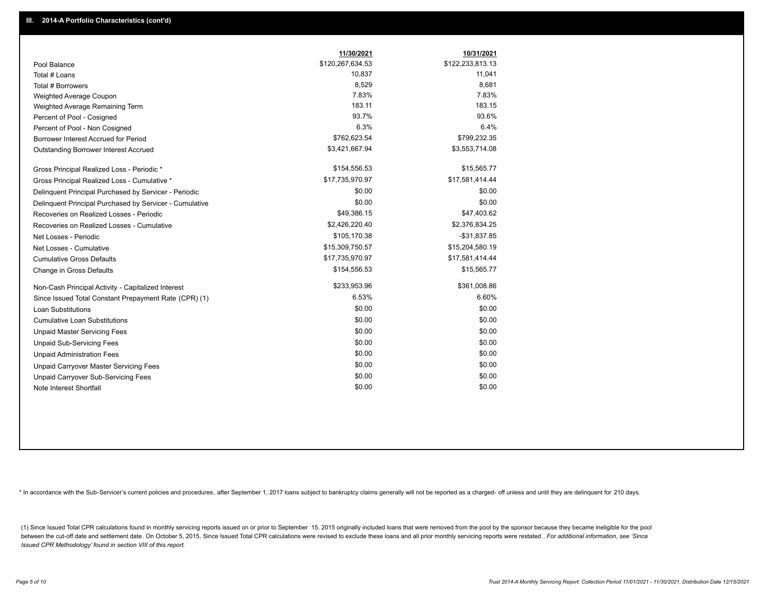|                                                         | 11/30/2021       | 10/31/2021       |
|---------------------------------------------------------|------------------|------------------|
| Pool Balance                                            | \$120,267,634.53 | \$122,233,813.13 |
| Total # Loans                                           | 10,837           | 11,041           |
| Total # Borrowers                                       | 8,529            | 8,681            |
| Weighted Average Coupon                                 | 7.83%            | 7.83%            |
| Weighted Average Remaining Term                         | 183.11           | 183.15           |
| Percent of Pool - Cosigned                              | 93.7%            | 93.6%            |
| Percent of Pool - Non Cosigned                          | 6.3%             | 6.4%             |
| Borrower Interest Accrued for Period                    | \$762,623.54     | \$799,232.35     |
| Outstanding Borrower Interest Accrued                   | \$3,421,667.94   | \$3,553,714.08   |
| Gross Principal Realized Loss - Periodic *              | \$154,556.53     | \$15,565.77      |
| Gross Principal Realized Loss - Cumulative *            | \$17,735,970.97  | \$17,581,414.44  |
| Delinquent Principal Purchased by Servicer - Periodic   | \$0.00           | \$0.00           |
| Delinquent Principal Purchased by Servicer - Cumulative | \$0.00           | \$0.00           |
| Recoveries on Realized Losses - Periodic                | \$49,386.15      | \$47,403.62      |
| Recoveries on Realized Losses - Cumulative              | \$2,426,220.40   | \$2,376,834.25   |
| Net Losses - Periodic                                   | \$105,170.38     | $-$31,837.85$    |
| Net Losses - Cumulative                                 | \$15,309,750.57  | \$15,204,580.19  |
| <b>Cumulative Gross Defaults</b>                        | \$17,735,970.97  | \$17,581,414.44  |
| Change in Gross Defaults                                | \$154,556.53     | \$15,565.77      |
| Non-Cash Principal Activity - Capitalized Interest      | \$233,953.96     | \$361,008.86     |
| Since Issued Total Constant Prepayment Rate (CPR) (1)   | 6.53%            | 6.60%            |
| <b>Loan Substitutions</b>                               | \$0.00           | \$0.00           |
| <b>Cumulative Loan Substitutions</b>                    | \$0.00           | \$0.00           |
| <b>Unpaid Master Servicing Fees</b>                     | \$0.00           | \$0.00           |
| <b>Unpaid Sub-Servicing Fees</b>                        | \$0.00           | \$0.00           |
| <b>Unpaid Administration Fees</b>                       | \$0.00           | \$0.00           |
| Unpaid Carryover Master Servicing Fees                  | \$0.00           | \$0.00           |
| Unpaid Carryover Sub-Servicing Fees                     | \$0.00           | \$0.00           |
| Note Interest Shortfall                                 | \$0.00           | \$0.00           |

\* In accordance with the Sub-Servicer's current policies and procedures, after September 1, 2017 loans subject to bankruptcy claims generally will not be reported as a charged- off unless and until they are delinquent for

(1) Since Issued Total CPR calculations found in monthly servicing reports issued on or prior to September 15, 2015 originally included loans that were removed from the pool by the sponsor because they became ineligible fo between the cut-off date and settlement date. On October 5, 2015, Since Issued Total CPR calculations were revised to exclude these loans and all prior monthly servicing reports were restated . For additional information, *Issued CPR Methodology' found in section VIII of this report.*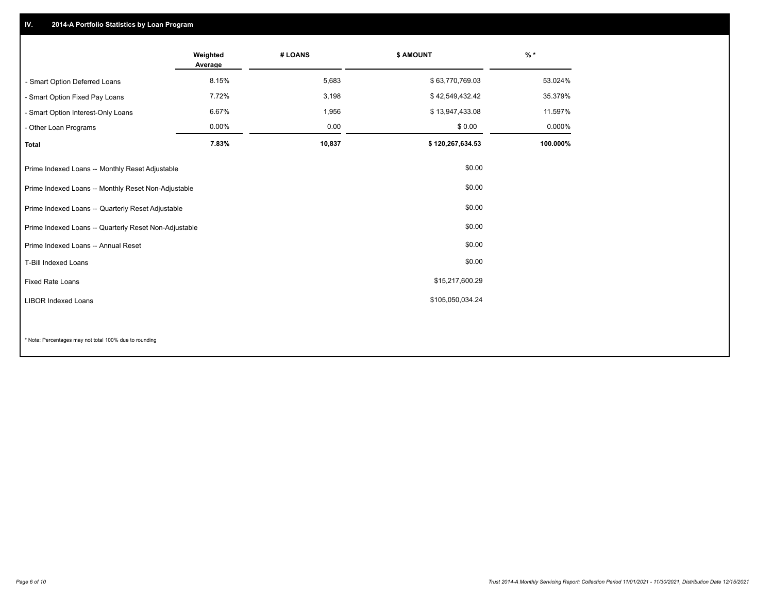## **IV. 2014-A Portfolio Statistics by Loan Program**

|                                                       | Weighted<br>Average | # LOANS | \$ AMOUNT        | $\frac{9}{6}$ * |
|-------------------------------------------------------|---------------------|---------|------------------|-----------------|
| - Smart Option Deferred Loans                         | 8.15%               | 5,683   | \$63,770,769.03  | 53.024%         |
| - Smart Option Fixed Pay Loans                        | 7.72%               | 3,198   | \$42,549,432.42  | 35.379%         |
| - Smart Option Interest-Only Loans                    | 6.67%               | 1,956   | \$13,947,433.08  | 11.597%         |
| - Other Loan Programs                                 | 0.00%               | 0.00    | \$0.00           | 0.000%          |
| <b>Total</b>                                          | 7.83%               | 10,837  | \$120,267,634.53 | 100.000%        |
| Prime Indexed Loans -- Monthly Reset Adjustable       |                     |         | \$0.00           |                 |
| Prime Indexed Loans -- Monthly Reset Non-Adjustable   |                     |         | \$0.00           |                 |
| Prime Indexed Loans -- Quarterly Reset Adjustable     |                     |         | \$0.00           |                 |
| Prime Indexed Loans -- Quarterly Reset Non-Adjustable |                     |         | \$0.00           |                 |
| Prime Indexed Loans -- Annual Reset                   |                     |         | \$0.00           |                 |
| <b>T-Bill Indexed Loans</b>                           |                     |         | \$0.00           |                 |
| <b>Fixed Rate Loans</b>                               |                     |         | \$15,217,600.29  |                 |
| <b>LIBOR Indexed Loans</b>                            |                     |         | \$105,050,034.24 |                 |
|                                                       |                     |         |                  |                 |

\* Note: Percentages may not total 100% due to rounding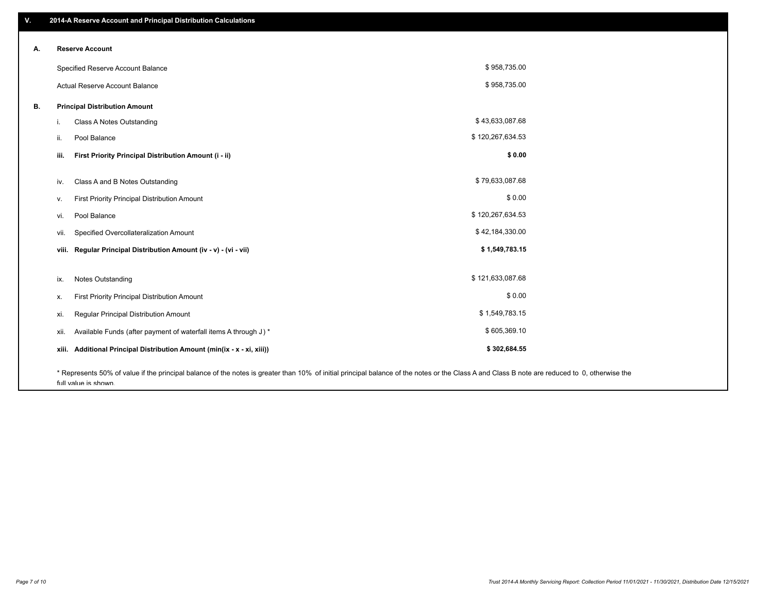| ۷. | 2014-A Reserve Account and Principal Distribution Calculations                                                                                                                                |                  |  |
|----|-----------------------------------------------------------------------------------------------------------------------------------------------------------------------------------------------|------------------|--|
|    | <b>Reserve Account</b>                                                                                                                                                                        |                  |  |
| А. |                                                                                                                                                                                               |                  |  |
|    | Specified Reserve Account Balance                                                                                                                                                             | \$958,735.00     |  |
|    | Actual Reserve Account Balance                                                                                                                                                                | \$958,735.00     |  |
| В. | <b>Principal Distribution Amount</b>                                                                                                                                                          |                  |  |
|    | Class A Notes Outstanding<br>i.                                                                                                                                                               | \$43,633,087.68  |  |
|    | Pool Balance<br>ii.                                                                                                                                                                           | \$120,267,634.53 |  |
|    | First Priority Principal Distribution Amount (i - ii)<br>iii.                                                                                                                                 | \$0.00           |  |
|    | Class A and B Notes Outstanding<br>iv.                                                                                                                                                        | \$79,633,087.68  |  |
|    | First Priority Principal Distribution Amount<br>V.                                                                                                                                            | \$0.00           |  |
|    | Pool Balance<br>vi.                                                                                                                                                                           | \$120,267,634.53 |  |
|    | Specified Overcollateralization Amount<br>vii.                                                                                                                                                | \$42,184,330.00  |  |
|    | Regular Principal Distribution Amount (iv - v) - (vi - vii)<br>viii.                                                                                                                          | \$1,549,783.15   |  |
|    | <b>Notes Outstanding</b><br>ix.                                                                                                                                                               | \$121,633,087.68 |  |
|    |                                                                                                                                                                                               | \$0.00           |  |
|    | First Priority Principal Distribution Amount<br>х.                                                                                                                                            |                  |  |
|    | Regular Principal Distribution Amount<br>xi.                                                                                                                                                  | \$1,549,783.15   |  |
|    | Available Funds (after payment of waterfall items A through J) *<br>xii.                                                                                                                      | \$605,369.10     |  |
|    | Additional Principal Distribution Amount (min(ix - x - xi, xiii))<br>xiii.                                                                                                                    | \$302,684.55     |  |
|    | * Represents 50% of value if the principal balance of the notes is greater than 10% of initial principal balance of the notes or the Class A and Class B note are reduced to 0, otherwise the |                  |  |

full value is shown.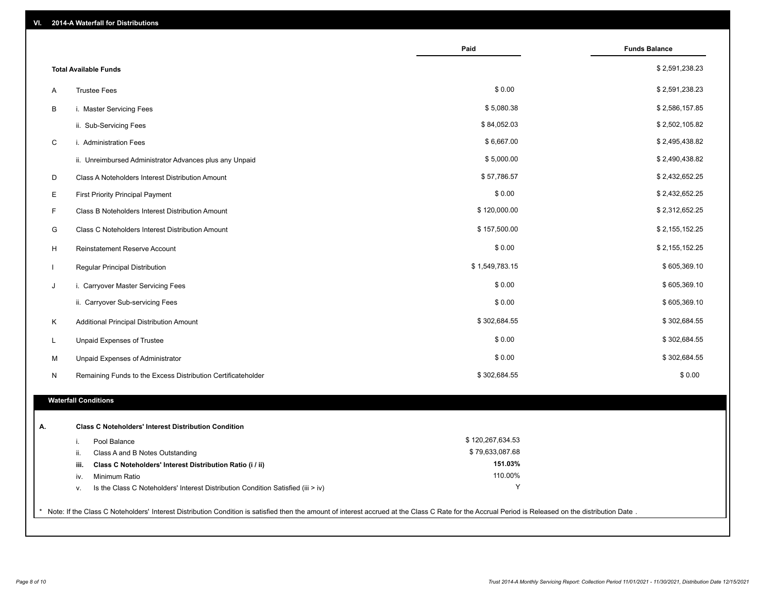| VI.         | 2014-A Waterfall for Distributions                                                                                                                                                                    |                  |                      |
|-------------|-------------------------------------------------------------------------------------------------------------------------------------------------------------------------------------------------------|------------------|----------------------|
|             |                                                                                                                                                                                                       | Paid             | <b>Funds Balance</b> |
|             | <b>Total Available Funds</b>                                                                                                                                                                          |                  | \$2,591,238.23       |
| Α           | <b>Trustee Fees</b>                                                                                                                                                                                   | \$0.00           | \$2,591,238.23       |
| В           | i. Master Servicing Fees                                                                                                                                                                              | \$5,080.38       | \$2,586,157.85       |
|             | ii. Sub-Servicing Fees                                                                                                                                                                                | \$84,052.03      | \$2,502,105.82       |
| $\mathbf C$ | i. Administration Fees                                                                                                                                                                                | \$6,667.00       | \$2,495,438.82       |
|             | ii. Unreimbursed Administrator Advances plus any Unpaid                                                                                                                                               | \$5,000.00       | \$2,490,438.82       |
| D           | Class A Noteholders Interest Distribution Amount                                                                                                                                                      | \$57,786.57      | \$2,432,652.25       |
| Е           | <b>First Priority Principal Payment</b>                                                                                                                                                               | \$0.00           | \$2,432,652.25       |
| F           | Class B Noteholders Interest Distribution Amount                                                                                                                                                      | \$120,000.00     | \$2,312,652.25       |
| G           | Class C Noteholders Interest Distribution Amount                                                                                                                                                      | \$157,500.00     | \$2,155,152.25       |
| H           | Reinstatement Reserve Account                                                                                                                                                                         | \$0.00           | \$2,155,152.25       |
|             | Regular Principal Distribution                                                                                                                                                                        | \$1,549,783.15   | \$605,369.10         |
| J           | i. Carryover Master Servicing Fees                                                                                                                                                                    | \$0.00           | \$605,369.10         |
|             | ii. Carryover Sub-servicing Fees                                                                                                                                                                      | \$0.00           | \$605,369.10         |
| Κ           | Additional Principal Distribution Amount                                                                                                                                                              | \$302,684.55     | \$302,684.55         |
| L           | Unpaid Expenses of Trustee                                                                                                                                                                            | \$0.00           | \$302,684.55         |
| М           | Unpaid Expenses of Administrator                                                                                                                                                                      | \$0.00           | \$302,684.55         |
| N           | Remaining Funds to the Excess Distribution Certificateholder                                                                                                                                          | \$302,684.55     | \$0.00               |
|             | <b>Waterfall Conditions</b>                                                                                                                                                                           |                  |                      |
|             |                                                                                                                                                                                                       |                  |                      |
| А.          | <b>Class C Noteholders' Interest Distribution Condition</b>                                                                                                                                           |                  |                      |
|             | Pool Balance<br>j.                                                                                                                                                                                    | \$120,267,634.53 |                      |
|             | Class A and B Notes Outstanding<br>ii.                                                                                                                                                                | \$79,633,087.68  |                      |
|             | Class C Noteholders' Interest Distribution Ratio (i / ii)<br>iii.                                                                                                                                     | 151.03%          |                      |
|             | Minimum Ratio<br>iv.                                                                                                                                                                                  | 110.00%<br>Υ     |                      |
|             | Is the Class C Noteholders' Interest Distribution Condition Satisfied (iii > iv)<br>V.                                                                                                                |                  |                      |
|             | * Note: If the Class C Noteholders' Interest Distribution Condition is satisfied then the amount of interest accrued at the Class C Rate for the Accrual Period is Released on the distribution Date. |                  |                      |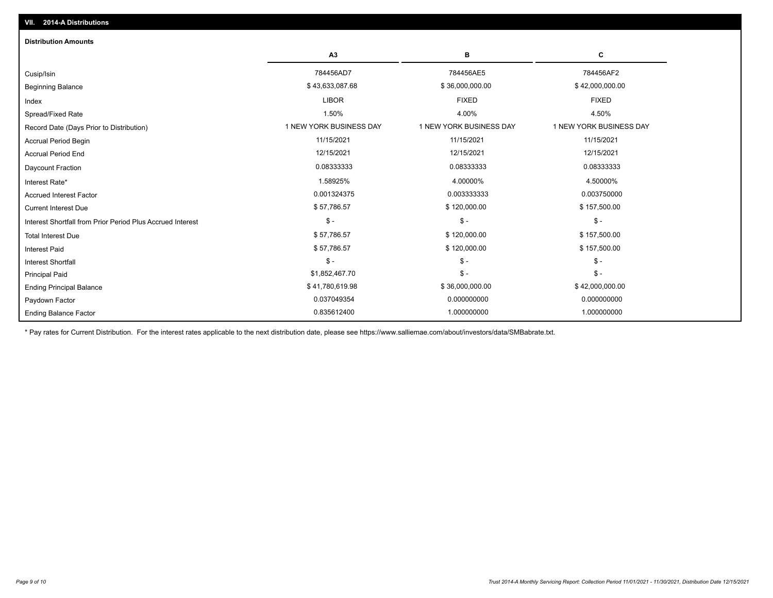| <b>Distribution Amounts</b>                                |                         |                         |                         |
|------------------------------------------------------------|-------------------------|-------------------------|-------------------------|
|                                                            | A <sub>3</sub>          | в                       | C                       |
| Cusip/Isin                                                 | 784456AD7               | 784456AE5               | 784456AF2               |
| <b>Beginning Balance</b>                                   | \$43,633,087.68         | \$36,000,000.00         | \$42,000,000.00         |
| Index                                                      | <b>LIBOR</b>            | <b>FIXED</b>            | <b>FIXED</b>            |
| Spread/Fixed Rate                                          | 1.50%                   | 4.00%                   | 4.50%                   |
| Record Date (Days Prior to Distribution)                   | 1 NEW YORK BUSINESS DAY | 1 NEW YORK BUSINESS DAY | 1 NEW YORK BUSINESS DAY |
| Accrual Period Begin                                       | 11/15/2021              | 11/15/2021              | 11/15/2021              |
| <b>Accrual Period End</b>                                  | 12/15/2021              | 12/15/2021              | 12/15/2021              |
| Daycount Fraction                                          | 0.08333333              | 0.08333333              | 0.08333333              |
| Interest Rate*                                             | 1.58925%                | 4.00000%                | 4.50000%                |
| <b>Accrued Interest Factor</b>                             | 0.001324375             | 0.003333333             | 0.003750000             |
| <b>Current Interest Due</b>                                | \$57,786.57             | \$120,000.00            | \$157,500.00            |
| Interest Shortfall from Prior Period Plus Accrued Interest | $$ -$                   | $\mathsf{\$}$ -         | $$ -$                   |
| <b>Total Interest Due</b>                                  | \$57,786.57             | \$120,000.00            | \$157,500.00            |
| <b>Interest Paid</b>                                       | \$57,786.57             | \$120,000.00            | \$157,500.00            |
| <b>Interest Shortfall</b>                                  | $$ -$                   | $\mathsf{\$}$ -         | $$ -$                   |
| <b>Principal Paid</b>                                      | \$1,852,467.70          | $\mathsf{\$}$ -         | $$ -$                   |
| <b>Ending Principal Balance</b>                            | \$41,780,619.98         | \$36,000,000.00         | \$42,000,000.00         |
| Paydown Factor                                             | 0.037049354             | 0.000000000             | 0.000000000             |
| <b>Ending Balance Factor</b>                               | 0.835612400             | 1.000000000             | 1.000000000             |

\* Pay rates for Current Distribution. For the interest rates applicable to the next distribution date, please see https://www.salliemae.com/about/investors/data/SMBabrate.txt.

**VII. 2014-A Distributions**